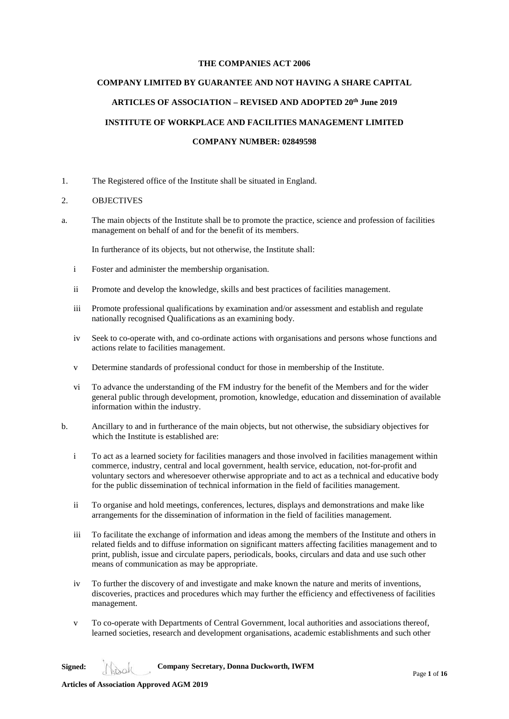# **THE COMPANIES ACT 2006**

# **COMPANY LIMITED BY GUARANTEE AND NOT HAVING A SHARE CAPITAL**

# **ARTICLES OF ASSOCIATION – REVISED AND ADOPTED 20th June 2019**

# **INSTITUTE OF WORKPLACE AND FACILITIES MANAGEMENT LIMITED**

### **COMPANY NUMBER: 02849598**

1. The Registered office of the Institute shall be situated in England.

### 2. OBJECTIVES

a. The main objects of the Institute shall be to promote the practice, science and profession of facilities management on behalf of and for the benefit of its members.

In furtherance of its objects, but not otherwise, the Institute shall:

- i Foster and administer the membership organisation.
- ii Promote and develop the knowledge, skills and best practices of facilities management.
- iii Promote professional qualifications by examination and/or assessment and establish and regulate nationally recognised Qualifications as an examining body.
- iv Seek to co-operate with, and co-ordinate actions with organisations and persons whose functions and actions relate to facilities management.
- v Determine standards of professional conduct for those in membership of the Institute.
- vi To advance the understanding of the FM industry for the benefit of the Members and for the wider general public through development, promotion, knowledge, education and dissemination of available information within the industry.
- b. Ancillary to and in furtherance of the main objects, but not otherwise, the subsidiary objectives for which the Institute is established are:
	- i To act as a learned society for facilities managers and those involved in facilities management within commerce, industry, central and local government, health service, education, not-for-profit and voluntary sectors and wheresoever otherwise appropriate and to act as a technical and educative body for the public dissemination of technical information in the field of facilities management.
	- ii To organise and hold meetings, conferences, lectures, displays and demonstrations and make like arrangements for the dissemination of information in the field of facilities management.
	- iii To facilitate the exchange of information and ideas among the members of the Institute and others in related fields and to diffuse information on significant matters affecting facilities management and to print, publish, issue and circulate papers, periodicals, books, circulars and data and use such other means of communication as may be appropriate.
	- iv To further the discovery of and investigate and make known the nature and merits of inventions, discoveries, practices and procedures which may further the efficiency and effectiveness of facilities management.
	- v To co-operate with Departments of Central Government, local authorities and associations thereof, learned societies, research and development organisations, academic establishments and such other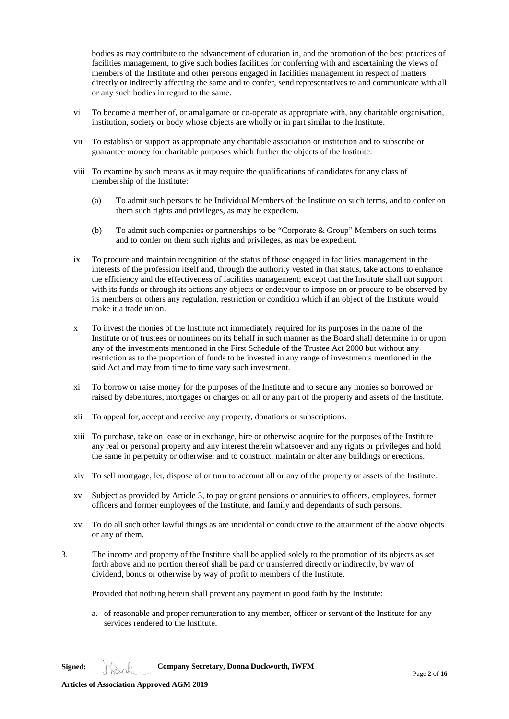bodies as may contribute to the advancement of education in, and the promotion of the best practices of facilities management, to give such bodies facilities for conferring with and ascertaining the views of members of the Institute and other persons engaged in facilities management in respect of matters directly or indirectly affecting the same and to confer, send representatives to and communicate with all or any such bodies in regard to the same.

- vi To become a member of, or amalgamate or co-operate as appropriate with, any charitable organisation, institution, society or body whose objects are wholly or in part similar to the Institute.
- vii To establish or support as appropriate any charitable association or institution and to subscribe or guarantee money for charitable purposes which further the objects of the Institute.
- viii To examine by such means as it may require the qualifications of candidates for any class of membership of the Institute:
	- (a) To admit such persons to be Individual Members of the Institute on such terms, and to confer on them such rights and privileges, as may be expedient.
	- (b) To admit such companies or partnerships to be "Corporate & Group" Members on such terms and to confer on them such rights and privileges, as may be expedient.
- ix To procure and maintain recognition of the status of those engaged in facilities management in the interests of the profession itself and, through the authority vested in that status, take actions to enhance the efficiency and the effectiveness of facilities management; except that the Institute shall not support with its funds or through its actions any objects or endeavour to impose on or procure to be observed by its members or others any regulation, restriction or condition which if an object of the Institute would make it a trade union.
- x To invest the monies of the Institute not immediately required for its purposes in the name of the Institute or of trustees or nominees on its behalf in such manner as the Board shall determine in or upon any of the investments mentioned in the First Schedule of the Trustee Act 2000 but without any restriction as to the proportion of funds to be invested in any range of investments mentioned in the said Act and may from time to time vary such investment.
- xi To borrow or raise money for the purposes of the Institute and to secure any monies so borrowed or raised by debentures, mortgages or charges on all or any part of the property and assets of the Institute.
- xii To appeal for, accept and receive any property, donations or subscriptions.
- xiii To purchase, take on lease or in exchange, hire or otherwise acquire for the purposes of the Institute any real or personal property and any interest therein whatsoever and any rights or privileges and hold the same in perpetuity or otherwise: and to construct, maintain or alter any buildings or erections.
- xiv To sell mortgage, let, dispose of or turn to account all or any of the property or assets of the Institute.
- xv Subject as provided by Article 3, to pay or grant pensions or annuities to officers, employees, former officers and former employees of the Institute, and family and dependants of such persons.
- xvi To do all such other lawful things as are incidental or conductive to the attainment of the above objects or any of them.
- 3. The income and property of the Institute shall be applied solely to the promotion of its objects as set forth above and no portion thereof shall be paid or transferred directly or indirectly, by way of dividend, bonus or otherwise by way of profit to members of the Institute.

Provided that nothing herein shall prevent any payment in good faith by the Institute:

a. of reasonable and proper remuneration to any member, officer or servant of the Institute for any services rendered to the Institute.

**Signed: Company Secretary, Donna Duckworth, IWFM**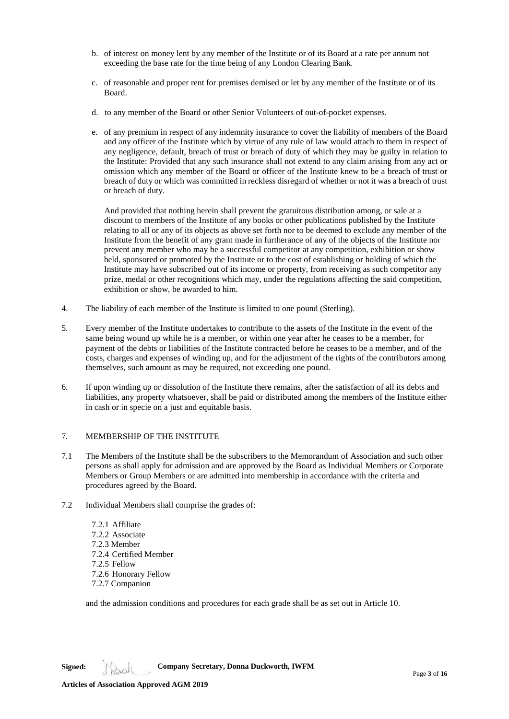- b. of interest on money lent by any member of the Institute or of its Board at a rate per annum not exceeding the base rate for the time being of any London Clearing Bank.
- c. of reasonable and proper rent for premises demised or let by any member of the Institute or of its Board.
- d. to any member of the Board or other Senior Volunteers of out-of-pocket expenses.
- e. of any premium in respect of any indemnity insurance to cover the liability of members of the Board and any officer of the Institute which by virtue of any rule of law would attach to them in respect of any negligence, default, breach of trust or breach of duty of which they may be guilty in relation to the Institute: Provided that any such insurance shall not extend to any claim arising from any act or omission which any member of the Board or officer of the Institute knew to be a breach of trust or breach of duty or which was committed in reckless disregard of whether or not it was a breach of trust or breach of duty.

 And provided that nothing herein shall prevent the gratuitous distribution among, or sale at a discount to members of the Institute of any books or other publications published by the Institute relating to all or any of its objects as above set forth nor to be deemed to exclude any member of the Institute from the benefit of any grant made in furtherance of any of the objects of the Institute nor prevent any member who may be a successful competitor at any competition, exhibition or show held, sponsored or promoted by the Institute or to the cost of establishing or holding of which the Institute may have subscribed out of its income or property, from receiving as such competitor any prize, medal or other recognitions which may, under the regulations affecting the said competition, exhibition or show, be awarded to him.

- 4. The liability of each member of the Institute is limited to one pound (Sterling).
- 5. Every member of the Institute undertakes to contribute to the assets of the Institute in the event of the same being wound up while he is a member, or within one year after he ceases to be a member, for payment of the debts or liabilities of the Institute contracted before he ceases to be a member, and of the costs, charges and expenses of winding up, and for the adjustment of the rights of the contributors among themselves, such amount as may be required, not exceeding one pound.
- 6. If upon winding up or dissolution of the Institute there remains, after the satisfaction of all its debts and liabilities, any property whatsoever, shall be paid or distributed among the members of the Institute either in cash or in specie on a just and equitable basis.

# 7*.* MEMBERSHIP OF THE INSTITUTE

- 7.1 The Members of the Institute shall be the subscribers to the Memorandum of Association and such other persons as shall apply for admission and are approved by the Board as Individual Members or Corporate Members or Group Members or are admitted into membership in accordance with the criteria and procedures agreed by the Board.
- 7.2 Individual Members shall comprise the grades of:
	- 7.2.1 Affiliate 7.2.2 Associate 7.2.3 Member 7.2.4 Certified Member 7.2.5 Fellow 7.2.6 Honorary Fellow 7.2.7 Companion

and the admission conditions and procedures for each grade shall be as set out in Article 10.

**Signed: Company Secretary, Donna Duckworth, IWFM**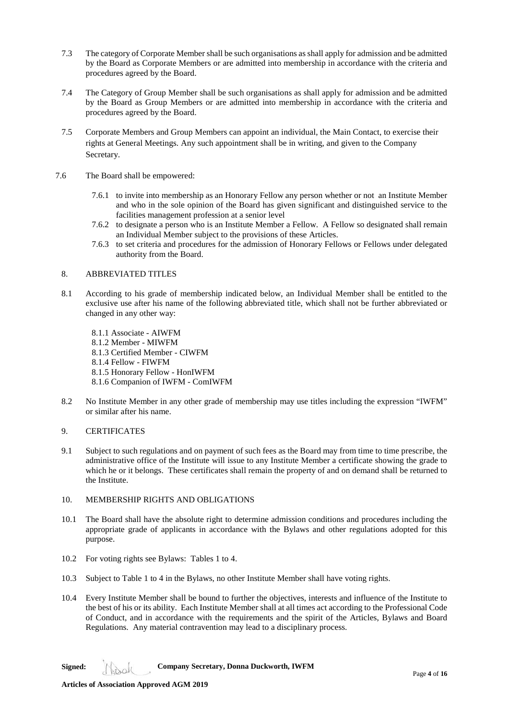- 7.3 The category of Corporate Member shall be such organisations as shall apply for admission and be admitted by the Board as Corporate Members or are admitted into membership in accordance with the criteria and procedures agreed by the Board.
- 7.4 The Category of Group Member shall be such organisations as shall apply for admission and be admitted by the Board as Group Members or are admitted into membership in accordance with the criteria and procedures agreed by the Board.
- 7.5 Corporate Members and Group Members can appoint an individual, the Main Contact, to exercise their rights at General Meetings. Any such appointment shall be in writing, and given to the Company Secretary.
- 7.6 The Board shall be empowered:
	- 7.6.1 to invite into membership as an Honorary Fellow any person whether or not an Institute Member and who in the sole opinion of the Board has given significant and distinguished service to the facilities management profession at a senior level
	- 7.6.2 to designate a person who is an Institute Member a Fellow. A Fellow so designated shall remain an Individual Member subject to the provisions of these Articles.
	- 7.6.3 to set criteria and procedures for the admission of Honorary Fellows or Fellows under delegated authority from the Board.

# 8. ABBREVIATED TITLES

- 8.1 According to his grade of membership indicated below, an Individual Member shall be entitled to the exclusive use after his name of the following abbreviated title, which shall not be further abbreviated or changed in any other way:
	- 8.1.1 Associate AIWFM 8.1.2 Member - MIWFM 8.1.3 Certified Member - CIWFM 8.1.4 Fellow - FIWFM 8.1.5 Honorary Fellow - HonIWFM 8.1.6 Companion of IWFM - ComIWFM
- 8.2 No Institute Member in any other grade of membership may use titles including the expression "IWFM" or similar after his name.

# 9. CERTIFICATES

- 9.1 Subject to such regulations and on payment of such fees as the Board may from time to time prescribe, the administrative office of the Institute will issue to any Institute Member a certificate showing the grade to which he or it belongs. These certificates shall remain the property of and on demand shall be returned to the Institute.
- 10. MEMBERSHIP RIGHTS AND OBLIGATIONS
- 10.1 The Board shall have the absolute right to determine admission conditions and procedures including the appropriate grade of applicants in accordance with the Bylaws and other regulations adopted for this purpose.
- 10.2 For voting rights see Bylaws: Tables 1 to 4.
- 10.3 Subject to Table 1 to 4 in the Bylaws, no other Institute Member shall have voting rights.
- 10.4 Every Institute Member shall be bound to further the objectives, interests and influence of the Institute to the best of his or its ability. Each Institute Member shall at all times act according to the Professional Code of Conduct, and in accordance with the requirements and the spirit of the Articles, Bylaws and Board Regulations. Any material contravention may lead to a disciplinary process.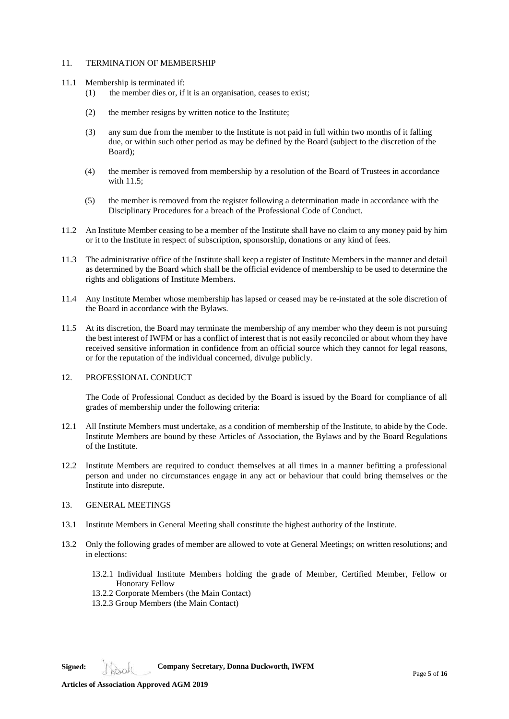# 11 TERMINATION OF MEMBERSHIP

- 11.1 Membership is terminated if:
	- (1) the member dies or, if it is an organisation, ceases to exist;
	- (2) the member resigns by written notice to the Institute;
	- (3) any sum due from the member to the Institute is not paid in full within two months of it falling due, or within such other period as may be defined by the Board (subject to the discretion of the Board);
	- (4) the member is removed from membership by a resolution of the Board of Trustees in accordance with 11.5;
	- (5) the member is removed from the register following a determination made in accordance with the Disciplinary Procedures for a breach of the Professional Code of Conduct.
- 11.2 An Institute Member ceasing to be a member of the Institute shall have no claim to any money paid by him or it to the Institute in respect of subscription, sponsorship, donations or any kind of fees.
- 11.3 The administrative office of the Institute shall keep a register of Institute Members in the manner and detail as determined by the Board which shall be the official evidence of membership to be used to determine the rights and obligations of Institute Members.
- 11.4 Any Institute Member whose membership has lapsed or ceased may be re-instated at the sole discretion of the Board in accordance with the Bylaws.
- 11.5 At its discretion, the Board may terminate the membership of any member who they deem is not pursuing the best interest of IWFM or has a conflict of interest that is not easily reconciled or about whom they have received sensitive information in confidence from an official source which they cannot for legal reasons, or for the reputation of the individual concerned, divulge publicly.

### 12. PROFESSIONAL CONDUCT

The Code of Professional Conduct as decided by the Board is issued by the Board for compliance of all grades of membership under the following criteria:

- 12.1 All Institute Members must undertake, as a condition of membership of the Institute, to abide by the Code. Institute Members are bound by these Articles of Association, the Bylaws and by the Board Regulations of the Institute.
- 12.2 Institute Members are required to conduct themselves at all times in a manner befitting a professional person and under no circumstances engage in any act or behaviour that could bring themselves or the Institute into disrepute.

### 13. GENERAL MEETINGS

- 13.1 Institute Members in General Meeting shall constitute the highest authority of the Institute.
- 13.2 Only the following grades of member are allowed to vote at General Meetings; on written resolutions; and in elections:
	- 13.2.1 Individual Institute Members holding the grade of Member, Certified Member, Fellow or Honorary Fellow
	- 13.2.2 Corporate Members (the Main Contact)
	- 13.2.3 Group Members (the Main Contact)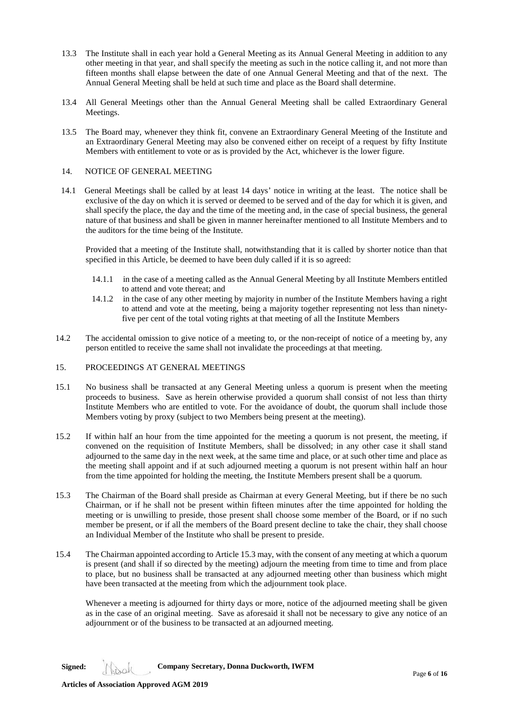- 13.3 The Institute shall in each year hold a General Meeting as its Annual General Meeting in addition to any other meeting in that year, and shall specify the meeting as such in the notice calling it, and not more than fifteen months shall elapse between the date of one Annual General Meeting and that of the next. The Annual General Meeting shall be held at such time and place as the Board shall determine.
- 13.4 All General Meetings other than the Annual General Meeting shall be called Extraordinary General Meetings.
- 13.5 The Board may, whenever they think fit, convene an Extraordinary General Meeting of the Institute and an Extraordinary General Meeting may also be convened either on receipt of a request by fifty Institute Members with entitlement to vote or as is provided by the Act, whichever is the lower figure.

# 14. NOTICE OF GENERAL MEETING

14.1 General Meetings shall be called by at least 14 days' notice in writing at the least. The notice shall be exclusive of the day on which it is served or deemed to be served and of the day for which it is given, and shall specify the place, the day and the time of the meeting and, in the case of special business, the general nature of that business and shall be given in manner hereinafter mentioned to all Institute Members and to the auditors for the time being of the Institute.

Provided that a meeting of the Institute shall, notwithstanding that it is called by shorter notice than that specified in this Article, be deemed to have been duly called if it is so agreed:

- 14.1.1 in the case of a meeting called as the Annual General Meeting by all Institute Members entitled to attend and vote thereat; and
- 14.1.2 in the case of any other meeting by majority in number of the Institute Members having a right to attend and vote at the meeting, being a majority together representing not less than ninetyfive per cent of the total voting rights at that meeting of all the Institute Members
- 14.2 The accidental omission to give notice of a meeting to, or the non-receipt of notice of a meeting by, any person entitled to receive the same shall not invalidate the proceedings at that meeting.

# 15. PROCEEDINGS AT GENERAL MEETINGS

- 15.1 No business shall be transacted at any General Meeting unless a quorum is present when the meeting proceeds to business. Save as herein otherwise provided a quorum shall consist of not less than thirty Institute Members who are entitled to vote. For the avoidance of doubt, the quorum shall include those Members voting by proxy (subject to two Members being present at the meeting).
- 15.2 If within half an hour from the time appointed for the meeting a quorum is not present, the meeting, if convened on the requisition of Institute Members, shall be dissolved; in any other case it shall stand adjourned to the same day in the next week, at the same time and place, or at such other time and place as the meeting shall appoint and if at such adjourned meeting a quorum is not present within half an hour from the time appointed for holding the meeting, the Institute Members present shall be a quorum.
- 15.3 The Chairman of the Board shall preside as Chairman at every General Meeting, but if there be no such Chairman, or if he shall not be present within fifteen minutes after the time appointed for holding the meeting or is unwilling to preside, those present shall choose some member of the Board, or if no such member be present, or if all the members of the Board present decline to take the chair, they shall choose an Individual Member of the Institute who shall be present to preside.
- 15.4 The Chairman appointed according to Article 15.3 may, with the consent of any meeting at which a quorum is present (and shall if so directed by the meeting) adjourn the meeting from time to time and from place to place, but no business shall be transacted at any adjourned meeting other than business which might have been transacted at the meeting from which the adjournment took place.

Whenever a meeting is adjourned for thirty days or more, notice of the adjourned meeting shall be given as in the case of an original meeting. Save as aforesaid it shall not be necessary to give any notice of an adjournment or of the business to be transacted at an adjourned meeting.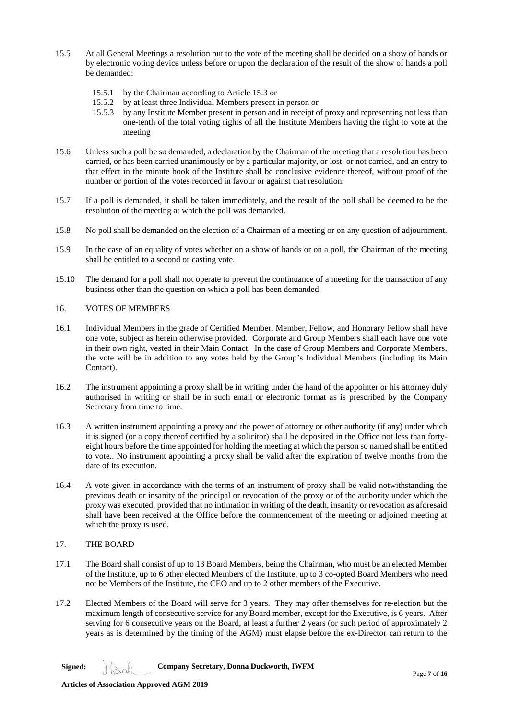- 15.5 At all General Meetings a resolution put to the vote of the meeting shall be decided on a show of hands or by electronic voting device unless before or upon the declaration of the result of the show of hands a poll be demanded:
	- 15.5.1 by the Chairman according to Article 15.3 or
	- 15.5.2 by at least three Individual Members present in person or
	- 15.5.3 by any Institute Member present in person and in receipt of proxy and representing not less than one-tenth of the total voting rights of all the Institute Members having the right to vote at the meeting
- 15.6 Unless such a poll be so demanded, a declaration by the Chairman of the meeting that a resolution has been carried, or has been carried unanimously or by a particular majority, or lost, or not carried, and an entry to that effect in the minute book of the Institute shall be conclusive evidence thereof, without proof of the number or portion of the votes recorded in favour or against that resolution.
- 15.7 If a poll is demanded, it shall be taken immediately, and the result of the poll shall be deemed to be the resolution of the meeting at which the poll was demanded.
- 15.8 No poll shall be demanded on the election of a Chairman of a meeting or on any question of adjournment.
- 15.9 In the case of an equality of votes whether on a show of hands or on a poll, the Chairman of the meeting shall be entitled to a second or casting vote.
- 15.10 The demand for a poll shall not operate to prevent the continuance of a meeting for the transaction of any business other than the question on which a poll has been demanded.

## 16. VOTES OF MEMBERS

- 16.1 Individual Members in the grade of Certified Member, Member, Fellow, and Honorary Fellow shall have one vote, subject as herein otherwise provided. Corporate and Group Members shall each have one vote in their own right, vested in their Main Contact. In the case of Group Members and Corporate Members, the vote will be in addition to any votes held by the Group's Individual Members (including its Main Contact).
- 16.2 The instrument appointing a proxy shall be in writing under the hand of the appointer or his attorney duly authorised in writing or shall be in such email or electronic format as is prescribed by the Company Secretary from time to time.
- 16.3 A written instrument appointing a proxy and the power of attorney or other authority (if any) under which it is signed (or a copy thereof certified by a solicitor) shall be deposited in the Office not less than fortyeight hours before the time appointed for holding the meeting at which the person so named shall be entitled to vote.. No instrument appointing a proxy shall be valid after the expiration of twelve months from the date of its execution.
- 16.4 A vote given in accordance with the terms of an instrument of proxy shall be valid notwithstanding the previous death or insanity of the principal or revocation of the proxy or of the authority under which the proxy was executed, provided that no intimation in writing of the death, insanity or revocation as aforesaid shall have been received at the Office before the commencement of the meeting or adjoined meeting at which the proxy is used.
- 17. THE BOARD
- 17.1 The Board shall consist of up to 13 Board Members, being the Chairman, who must be an elected Member of the Institute, up to 6 other elected Members of the Institute, up to 3 co-opted Board Members who need not be Members of the Institute, the CEO and up to 2 other members of the Executive.
- 17.2 Elected Members of the Board will serve for 3 years. They may offer themselves for re-election but the maximum length of consecutive service for any Board member, except for the Executive, is 6 years. After serving for 6 consecutive years on the Board, at least a further 2 years (or such period of approximately 2 years as is determined by the timing of the AGM) must elapse before the ex-Director can return to the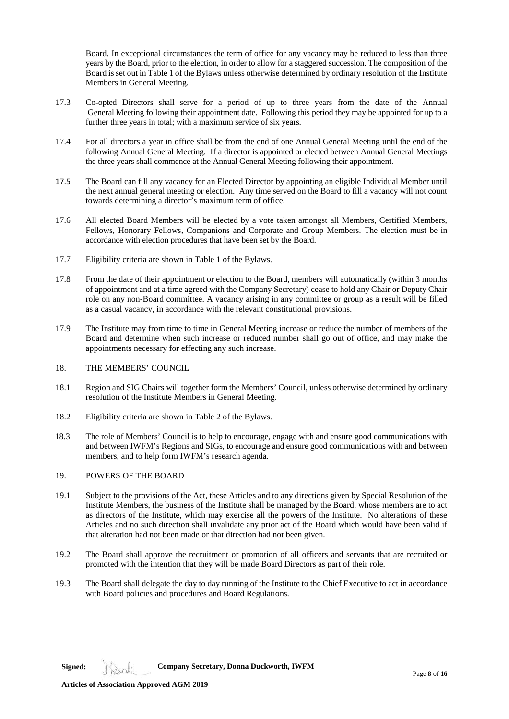Board. In exceptional circumstances the term of office for any vacancy may be reduced to less than three years by the Board, prior to the election, in order to allow for a staggered succession. The composition of the Board is set out in Table 1 of the Bylaws unless otherwise determined by ordinary resolution of the Institute Members in General Meeting.

- 17.3 Co-opted Directors shall serve for a period of up to three years from the date of the Annual General Meeting following their appointment date. Following this period they may be appointed for up to a further three years in total; with a maximum service of six years.
- 17.4 For all directors a year in office shall be from the end of one Annual General Meeting until the end of the following Annual General Meeting. If a director is appointed or elected between Annual General Meetings the three years shall commence at the Annual General Meeting following their appointment.
- 17.5 The Board can fill any vacancy for an Elected Director by appointing an eligible Individual Member until the next annual general meeting or election. Any time served on the Board to fill a vacancy will not count towards determining a director's maximum term of office.
- 17.6 All elected Board Members will be elected by a vote taken amongst all Members, Certified Members, Fellows, Honorary Fellows, Companions and Corporate and Group Members. The election must be in accordance with election procedures that have been set by the Board.
- 17.7 Eligibility criteria are shown in Table 1 of the Bylaws.
- 17.8 From the date of their appointment or election to the Board, members will automatically (within 3 months of appointment and at a time agreed with the Company Secretary) cease to hold any Chair or Deputy Chair role on any non-Board committee. A vacancy arising in any committee or group as a result will be filled as a casual vacancy, in accordance with the relevant constitutional provisions.
- 17.9 The Institute may from time to time in General Meeting increase or reduce the number of members of the Board and determine when such increase or reduced number shall go out of office, and may make the appointments necessary for effecting any such increase.

### 18. THE MEMBERS' COUNCIL

- 18.1 Region and SIG Chairs will together form the Members' Council, unless otherwise determined by ordinary resolution of the Institute Members in General Meeting.
- 18.2 Eligibility criteria are shown in Table 2 of the Bylaws.
- 18.3 The role of Members' Council is to help to encourage, engage with and ensure good communications with and between IWFM's Regions and SIGs, to encourage and ensure good communications with and between members, and to help form IWFM's research agenda.

# 19. POWERS OF THE BOARD

- 19.1 Subject to the provisions of the Act, these Articles and to any directions given by Special Resolution of the Institute Members, the business of the Institute shall be managed by the Board, whose members are to act as directors of the Institute, which may exercise all the powers of the Institute. No alterations of these Articles and no such direction shall invalidate any prior act of the Board which would have been valid if that alteration had not been made or that direction had not been given.
- 19.2 The Board shall approve the recruitment or promotion of all officers and servants that are recruited or promoted with the intention that they will be made Board Directors as part of their role.
- 19.3 The Board shall delegate the day to day running of the Institute to the Chief Executive to act in accordance with Board policies and procedures and Board Regulations.

**Articles of Association Approved AGM 2019**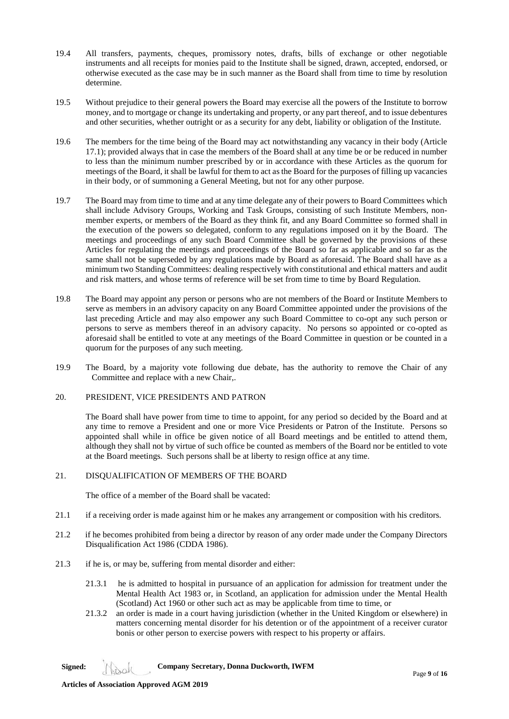- 19.4 All transfers, payments, cheques, promissory notes, drafts, bills of exchange or other negotiable instruments and all receipts for monies paid to the Institute shall be signed, drawn, accepted, endorsed, or otherwise executed as the case may be in such manner as the Board shall from time to time by resolution determine.
- 19.5 Without prejudice to their general powers the Board may exercise all the powers of the Institute to borrow money, and to mortgage or change its undertaking and property, or any part thereof, and to issue debentures and other securities, whether outright or as a security for any debt, liability or obligation of the Institute.
- 19.6 The members for the time being of the Board may act notwithstanding any vacancy in their body (Article 17.1); provided always that in case the members of the Board shall at any time be or be reduced in number to less than the minimum number prescribed by or in accordance with these Articles as the quorum for meetings of the Board, it shall be lawful for them to act as the Board for the purposes of filling up vacancies in their body, or of summoning a General Meeting, but not for any other purpose.
- 19.7 The Board may from time to time and at any time delegate any of their powers to Board Committees which shall include Advisory Groups, Working and Task Groups, consisting of such Institute Members, nonmember experts, or members of the Board as they think fit, and any Board Committee so formed shall in the execution of the powers so delegated, conform to any regulations imposed on it by the Board. The meetings and proceedings of any such Board Committee shall be governed by the provisions of these Articles for regulating the meetings and proceedings of the Board so far as applicable and so far as the same shall not be superseded by any regulations made by Board as aforesaid. The Board shall have as a minimum two Standing Committees: dealing respectively with constitutional and ethical matters and audit and risk matters, and whose terms of reference will be set from time to time by Board Regulation.
- 19.8 The Board may appoint any person or persons who are not members of the Board or Institute Members to serve as members in an advisory capacity on any Board Committee appointed under the provisions of the last preceding Article and may also empower any such Board Committee to co-opt any such person or persons to serve as members thereof in an advisory capacity. No persons so appointed or co-opted as aforesaid shall be entitled to vote at any meetings of the Board Committee in question or be counted in a quorum for the purposes of any such meeting.
- 19.9 The Board, by a majority vote following due debate, has the authority to remove the Chair of any Committee and replace with a new Chair,.
- 20. PRESIDENT, VICE PRESIDENTS AND PATRON

The Board shall have power from time to time to appoint, for any period so decided by the Board and at any time to remove a President and one or more Vice Presidents or Patron of the Institute. Persons so appointed shall while in office be given notice of all Board meetings and be entitled to attend them, although they shall not by virtue of such office be counted as members of the Board nor be entitled to vote at the Board meetings. Such persons shall be at liberty to resign office at any time.

# 21. DISQUALIFICATION OF MEMBERS OF THE BOARD

The office of a member of the Board shall be vacated:

- 21.1 if a receiving order is made against him or he makes any arrangement or composition with his creditors.
- 21.2 if he becomes prohibited from being a director by reason of any order made under the Company Directors Disqualification Act 1986 (CDDA 1986).
- 21.3 if he is, or may be, suffering from mental disorder and either:
	- 21.3.1 he is admitted to hospital in pursuance of an application for admission for treatment under the Mental Health Act 1983 or, in Scotland, an application for admission under the Mental Health (Scotland) Act 1960 or other such act as may be applicable from time to time, or
	- 21.3.2 an order is made in a court having jurisdiction (whether in the United Kingdom or elsewhere) in matters concerning mental disorder for his detention or of the appointment of a receiver curator bonis or other person to exercise powers with respect to his property or affairs.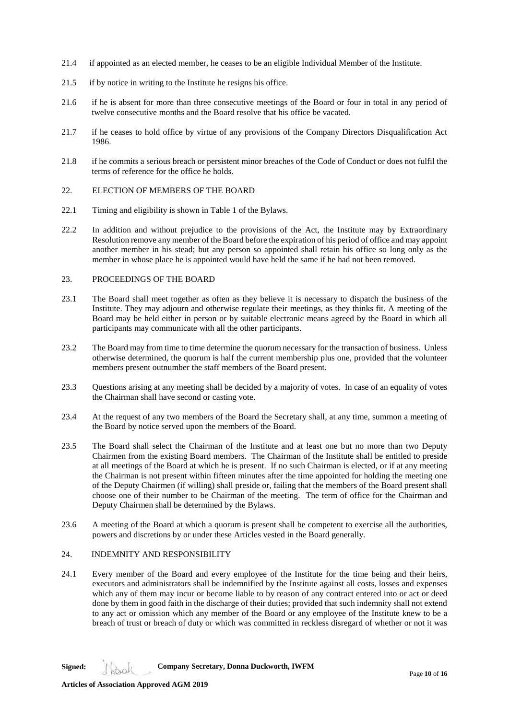- 21.4 if appointed as an elected member, he ceases to be an eligible Individual Member of the Institute.
- 21.5 if by notice in writing to the Institute he resigns his office.
- 21.6 if he is absent for more than three consecutive meetings of the Board or four in total in any period of twelve consecutive months and the Board resolve that his office be vacated.
- 21.7 if he ceases to hold office by virtue of any provisions of the Company Directors Disqualification Act 1986.
- 21.8 if he commits a serious breach or persistent minor breaches of the Code of Conduct or does not fulfil the terms of reference for the office he holds.

# 22. ELECTION OF MEMBERS OF THE BOARD

- 22.1 Timing and eligibility is shown in Table 1 of the Bylaws.
- 22.2 In addition and without prejudice to the provisions of the Act, the Institute may by Extraordinary Resolution remove any member of the Board before the expiration of his period of office and may appoint another member in his stead; but any person so appointed shall retain his office so long only as the member in whose place he is appointed would have held the same if he had not been removed.

# 23. PROCEEDINGS OF THE BOARD

- 23.1 The Board shall meet together as often as they believe it is necessary to dispatch the business of the Institute. They may adjourn and otherwise regulate their meetings, as they thinks fit. A meeting of the Board may be held either in person or by suitable electronic means agreed by the Board in which all participants may communicate with all the other participants.
- 23.2 The Board may from time to time determine the quorum necessary for the transaction of business. Unless otherwise determined, the quorum is half the current membership plus one, provided that the volunteer members present outnumber the staff members of the Board present.
- 23.3 Questions arising at any meeting shall be decided by a majority of votes. In case of an equality of votes the Chairman shall have second or casting vote.
- 23.4 At the request of any two members of the Board the Secretary shall, at any time, summon a meeting of the Board by notice served upon the members of the Board.
- 23.5 The Board shall select the Chairman of the Institute and at least one but no more than two Deputy Chairmen from the existing Board members. The Chairman of the Institute shall be entitled to preside at all meetings of the Board at which he is present. If no such Chairman is elected, or if at any meeting the Chairman is not present within fifteen minutes after the time appointed for holding the meeting one of the Deputy Chairmen (if willing) shall preside or, failing that the members of the Board present shall choose one of their number to be Chairman of the meeting. The term of office for the Chairman and Deputy Chairmen shall be determined by the Bylaws.
- 23.6 A meeting of the Board at which a quorum is present shall be competent to exercise all the authorities, powers and discretions by or under these Articles vested in the Board generally.

# 24. INDEMNITY AND RESPONSIBILITY

24.1 Every member of the Board and every employee of the Institute for the time being and their heirs, executors and administrators shall be indemnified by the Institute against all costs, losses and expenses which any of them may incur or become liable to by reason of any contract entered into or act or deed done by them in good faith in the discharge of their duties; provided that such indemnity shall not extend to any act or omission which any member of the Board or any employee of the Institute knew to be a breach of trust or breach of duty or which was committed in reckless disregard of whether or not it was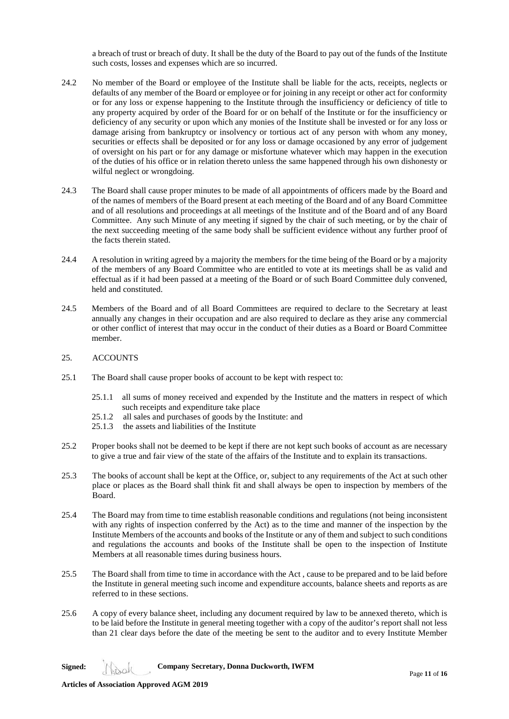a breach of trust or breach of duty. It shall be the duty of the Board to pay out of the funds of the Institute such costs, losses and expenses which are so incurred.

- 24.2 No member of the Board or employee of the Institute shall be liable for the acts, receipts, neglects or defaults of any member of the Board or employee or for joining in any receipt or other act for conformity or for any loss or expense happening to the Institute through the insufficiency or deficiency of title to any property acquired by order of the Board for or on behalf of the Institute or for the insufficiency or deficiency of any security or upon which any monies of the Institute shall be invested or for any loss or damage arising from bankruptcy or insolvency or tortious act of any person with whom any money, securities or effects shall be deposited or for any loss or damage occasioned by any error of judgement of oversight on his part or for any damage or misfortune whatever which may happen in the execution of the duties of his office or in relation thereto unless the same happened through his own dishonesty or wilful neglect or wrongdoing.
- 24.3 The Board shall cause proper minutes to be made of all appointments of officers made by the Board and of the names of members of the Board present at each meeting of the Board and of any Board Committee and of all resolutions and proceedings at all meetings of the Institute and of the Board and of any Board Committee. Any such Minute of any meeting if signed by the chair of such meeting, or by the chair of the next succeeding meeting of the same body shall be sufficient evidence without any further proof of the facts therein stated.
- 24.4 A resolution in writing agreed by a majority the members for the time being of the Board or by a majority of the members of any Board Committee who are entitled to vote at its meetings shall be as valid and effectual as if it had been passed at a meeting of the Board or of such Board Committee duly convened, held and constituted.
- 24.5 Members of the Board and of all Board Committees are required to declare to the Secretary at least annually any changes in their occupation and are also required to declare as they arise any commercial or other conflict of interest that may occur in the conduct of their duties as a Board or Board Committee member.
- 25. ACCOUNTS
- 25.1 The Board shall cause proper books of account to be kept with respect to:
	- 25.1.1 all sums of money received and expended by the Institute and the matters in respect of which such receipts and expenditure take place
	- 25.1.2 all sales and purchases of goods by the Institute: and
	- 25.1.3 the assets and liabilities of the Institute
- 25.2 Proper books shall not be deemed to be kept if there are not kept such books of account as are necessary to give a true and fair view of the state of the affairs of the Institute and to explain its transactions.
- 25.3 The books of account shall be kept at the Office, or, subject to any requirements of the Act at such other place or places as the Board shall think fit and shall always be open to inspection by members of the Board.
- 25.4 The Board may from time to time establish reasonable conditions and regulations (not being inconsistent with any rights of inspection conferred by the Act) as to the time and manner of the inspection by the Institute Members of the accounts and books of the Institute or any of them and subject to such conditions and regulations the accounts and books of the Institute shall be open to the inspection of Institute Members at all reasonable times during business hours.
- 25.5 The Board shall from time to time in accordance with the Act , cause to be prepared and to be laid before the Institute in general meeting such income and expenditure accounts, balance sheets and reports as are referred to in these sections.
- 25.6 A copy of every balance sheet, including any document required by law to be annexed thereto, which is to be laid before the Institute in general meeting together with a copy of the auditor's report shall not less than 21 clear days before the date of the meeting be sent to the auditor and to every Institute Member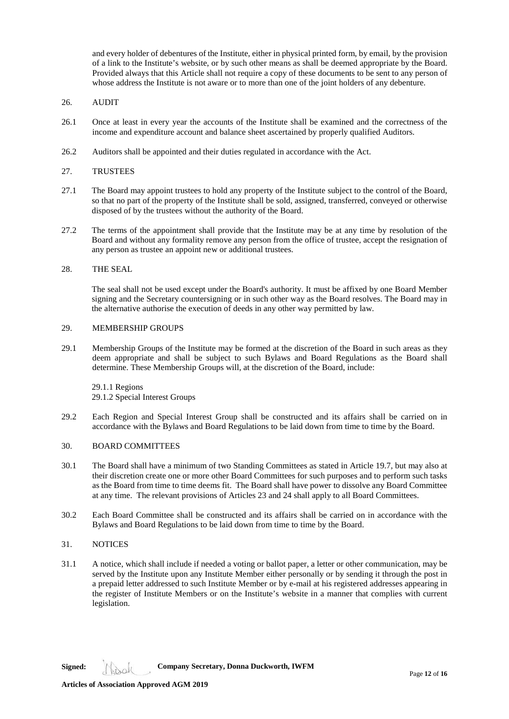and every holder of debentures of the Institute, either in physical printed form, by email, by the provision of a link to the Institute's website, or by such other means as shall be deemed appropriate by the Board. Provided always that this Article shall not require a copy of these documents to be sent to any person of whose address the Institute is not aware or to more than one of the joint holders of any debenture.

## 26. AUDIT

- 26.1 Once at least in every year the accounts of the Institute shall be examined and the correctness of the income and expenditure account and balance sheet ascertained by properly qualified Auditors.
- 26.2 Auditors shall be appointed and their duties regulated in accordance with the Act.

## 27. TRUSTEES

- 27.1 The Board may appoint trustees to hold any property of the Institute subject to the control of the Board, so that no part of the property of the Institute shall be sold, assigned, transferred, conveyed or otherwise disposed of by the trustees without the authority of the Board.
- 27.2 The terms of the appointment shall provide that the Institute may be at any time by resolution of the Board and without any formality remove any person from the office of trustee, accept the resignation of any person as trustee an appoint new or additional trustees.

## 28. THE SEAL

The seal shall not be used except under the Board's authority. It must be affixed by one Board Member signing and the Secretary countersigning or in such other way as the Board resolves. The Board may in the alternative authorise the execution of deeds in any other way permitted by law.

### 29. MEMBERSHIP GROUPS

29.1 Membership Groups of the Institute may be formed at the discretion of the Board in such areas as they deem appropriate and shall be subject to such Bylaws and Board Regulations as the Board shall determine. These Membership Groups will, at the discretion of the Board, include:

29.1.1 Regions 29.1.2 Special Interest Groups

29.2 Each Region and Special Interest Group shall be constructed and its affairs shall be carried on in accordance with the Bylaws and Board Regulations to be laid down from time to time by the Board.

### 30. BOARD COMMITTEES

- 30.1 The Board shall have a minimum of two Standing Committees as stated in Article 19.7, but may also at their discretion create one or more other Board Committees for such purposes and to perform such tasks as the Board from time to time deems fit. The Board shall have power to dissolve any Board Committee at any time. The relevant provisions of Articles 23 and 24 shall apply to all Board Committees.
- 30.2 Each Board Committee shall be constructed and its affairs shall be carried on in accordance with the Bylaws and Board Regulations to be laid down from time to time by the Board.

# 31. NOTICES

31.1 A notice, which shall include if needed a voting or ballot paper, a letter or other communication, may be served by the Institute upon any Institute Member either personally or by sending it through the post in a prepaid letter addressed to such Institute Member or by e-mail at his registered addresses appearing in the register of Institute Members or on the Institute's website in a manner that complies with current legislation.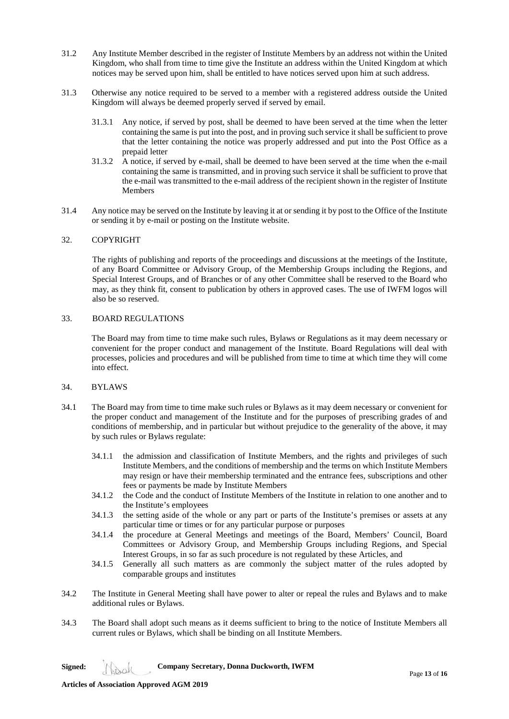- 31.2 Any Institute Member described in the register of Institute Members by an address not within the United Kingdom, who shall from time to time give the Institute an address within the United Kingdom at which notices may be served upon him, shall be entitled to have notices served upon him at such address.
- 31.3 Otherwise any notice required to be served to a member with a registered address outside the United Kingdom will always be deemed properly served if served by email.
	- 31.3.1 Any notice, if served by post, shall be deemed to have been served at the time when the letter containing the same is put into the post, and in proving such service it shall be sufficient to prove that the letter containing the notice was properly addressed and put into the Post Office as a prepaid letter
	- 31.3.2 A notice, if served by e-mail, shall be deemed to have been served at the time when the e-mail containing the same is transmitted, and in proving such service it shall be sufficient to prove that the e-mail was transmitted to the e-mail address of the recipient shown in the register of Institute **Members**
- 31.4 Any notice may be served on the Institute by leaving it at or sending it by post to the Office of the Institute or sending it by e-mail or posting on the Institute website.

### 32. COPYRIGHT

The rights of publishing and reports of the proceedings and discussions at the meetings of the Institute, of any Board Committee or Advisory Group, of the Membership Groups including the Regions, and Special Interest Groups, and of Branches or of any other Committee shall be reserved to the Board who may, as they think fit, consent to publication by others in approved cases. The use of IWFM logos will also be so reserved.

### 33. BOARD REGULATIONS

The Board may from time to time make such rules, Bylaws or Regulations as it may deem necessary or convenient for the proper conduct and management of the Institute. Board Regulations will deal with processes, policies and procedures and will be published from time to time at which time they will come into effect.

# 34. BYLAWS

- 34.1 The Board may from time to time make such rules or Bylaws as it may deem necessary or convenient for the proper conduct and management of the Institute and for the purposes of prescribing grades of and conditions of membership, and in particular but without prejudice to the generality of the above, it may by such rules or Bylaws regulate:
	- 34.1.1 the admission and classification of Institute Members, and the rights and privileges of such Institute Members, and the conditions of membership and the terms on which Institute Members may resign or have their membership terminated and the entrance fees, subscriptions and other fees or payments be made by Institute Members
	- 34.1.2 the Code and the conduct of Institute Members of the Institute in relation to one another and to the Institute's employees
	- 34.1.3 the setting aside of the whole or any part or parts of the Institute's premises or assets at any particular time or times or for any particular purpose or purposes
	- 34.1.4 the procedure at General Meetings and meetings of the Board, Members' Council, Board Committees or Advisory Group, and Membership Groups including Regions, and Special Interest Groups, in so far as such procedure is not regulated by these Articles, and
	- 34.1.5 Generally all such matters as are commonly the subject matter of the rules adopted by comparable groups and institutes
- 34.2 The Institute in General Meeting shall have power to alter or repeal the rules and Bylaws and to make additional rules or Bylaws.
- 34.3 The Board shall adopt such means as it deems sufficient to bring to the notice of Institute Members all current rules or Bylaws, which shall be binding on all Institute Members.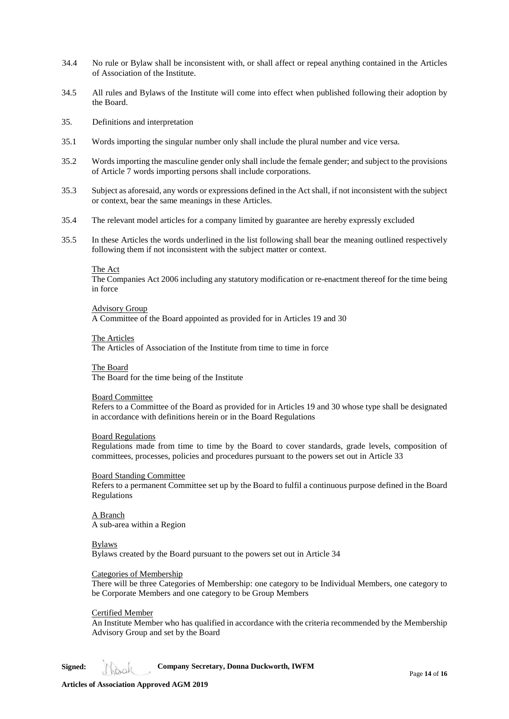- 34.4 No rule or Bylaw shall be inconsistent with, or shall affect or repeal anything contained in the Articles of Association of the Institute.
- 34.5 All rules and Bylaws of the Institute will come into effect when published following their adoption by the Board.
- 35. Definitions and interpretation
- 35.1 Words importing the singular number only shall include the plural number and vice versa.
- 35.2 Words importing the masculine gender only shall include the female gender; and subject to the provisions of Article 7 words importing persons shall include corporations.
- 35.3 Subject as aforesaid, any words or expressions defined in the Act shall, if not inconsistent with the subject or context, bear the same meanings in these Articles.
- 35.4 The relevant model articles for a company limited by guarantee are hereby expressly excluded
- 35.5 In these Articles the words underlined in the list following shall bear the meaning outlined respectively following them if not inconsistent with the subject matter or context.

#### The Act

The Companies Act 2006 including any statutory modification or re-enactment thereof for the time being in force

#### Advisory Group

A Committee of the Board appointed as provided for in Articles 19 and 30

#### The Articles

The Articles of Association of the Institute from time to time in force

#### The Board

The Board for the time being of the Institute

#### Board Committee

Refers to a Committee of the Board as provided for in Articles 19 and 30 whose type shall be designated in accordance with definitions herein or in the Board Regulations

### Board Regulations

Regulations made from time to time by the Board to cover standards, grade levels, composition of committees, processes, policies and procedures pursuant to the powers set out in Article 33

## Board Standing Committee

Refers to a permanent Committee set up by the Board to fulfil a continuous purpose defined in the Board Regulations

A Branch A sub-area within a Region

### Bylaws

Bylaws created by the Board pursuant to the powers set out in Article 34

### Categories of Membership

There will be three Categories of Membership: one category to be Individual Members, one category to be Corporate Members and one category to be Group Members

#### Certified Member

An Institute Member who has qualified in accordance with the criteria recommended by the Membership Advisory Group and set by the Board

**Signed: Company Secretary, Donna Duckworth, IWFM**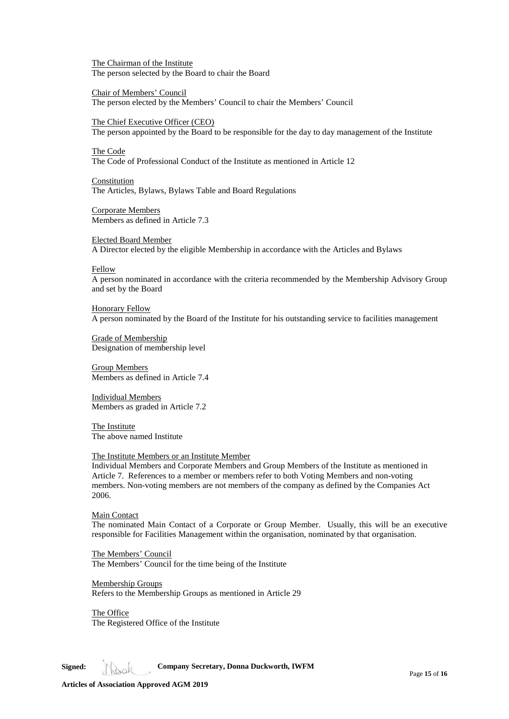The Chairman of the Institute The person selected by the Board to chair the Board

Chair of Members' Council The person elected by the Members' Council to chair the Members' Council

The Chief Executive Officer (CEO)

The person appointed by the Board to be responsible for the day to day management of the Institute

The Code

The Code of Professional Conduct of the Institute as mentioned in Article 12

**Constitution** The Articles, Bylaws, Bylaws Table and Board Regulations

Corporate Members Members as defined in Article 7.3

Elected Board Member A Director elected by the eligible Membership in accordance with the Articles and Bylaws

Fellow

A person nominated in accordance with the criteria recommended by the Membership Advisory Group and set by the Board

Honorary Fellow A person nominated by the Board of the Institute for his outstanding service to facilities management

Grade of Membership Designation of membership level

Group Members Members as defined in Article 7.4

Individual Members Members as graded in Article 7.2

The Institute The above named Institute

### The Institute Members or an Institute Member

Individual Members and Corporate Members and Group Members of the Institute as mentioned in Article 7. References to a member or members refer to both Voting Members and non-voting members. Non-voting members are not members of the company as defined by the Companies Act 2006.

Main Contact

The nominated Main Contact of a Corporate or Group Member. Usually, this will be an executive responsible for Facilities Management within the organisation, nominated by that organisation.

The Members' Council The Members' Council for the time being of the Institute

Membership Groups Refers to the Membership Groups as mentioned in Article 29

The Office The Registered Office of the Institute

**Signed: Company Secretary, Donna Duckworth, IWFM**

**Articles of Association Approved AGM 2019**